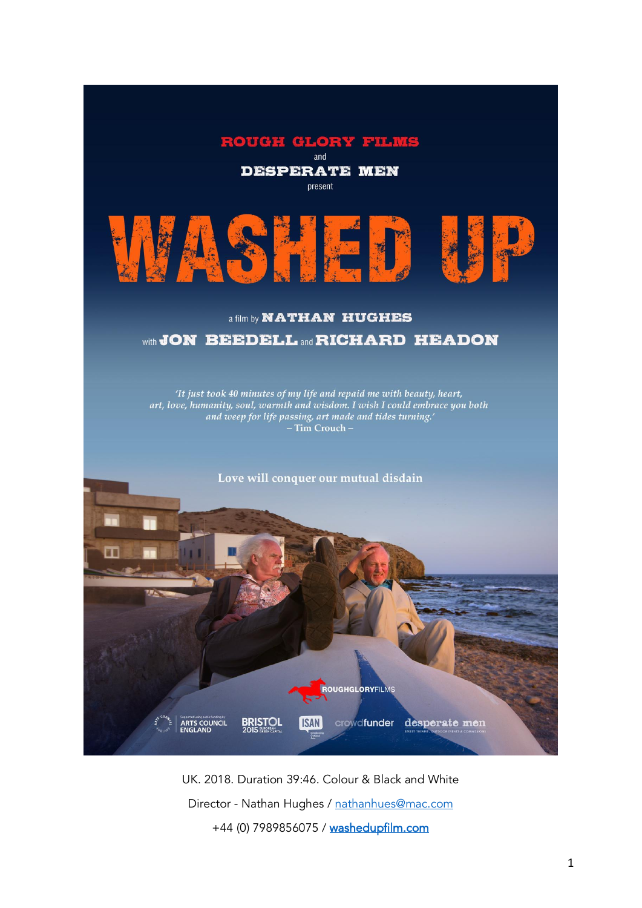

UK. 2018. Duration 39:46. Colour & Black and White Director - Nathan Hughes / nathanhues@mac.com +44 (0) 7989856075 / washedupfilm.com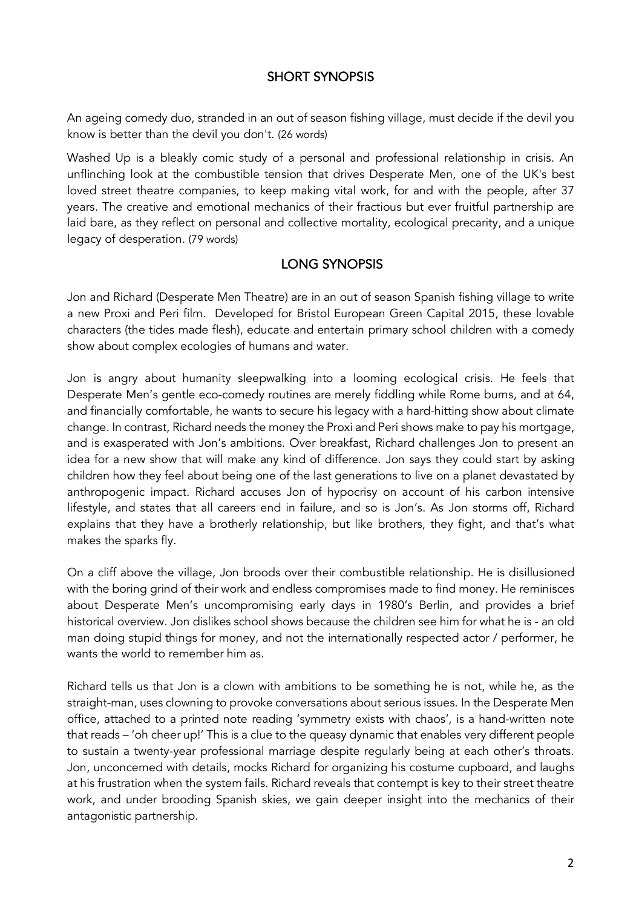# SHORT SYNOPSIS

An ageing comedy duo, stranded in an out of season fishing village, must decide if the devil you know is better than the devil you don't. (26 words)

Washed Up is a bleakly comic study of a personal and professional relationship in crisis. An unflinching look at the combustible tension that drives Desperate Men, one of the UK's best loved street theatre companies, to keep making vital work, for and with the people, after 37 years. The creative and emotional mechanics of their fractious but ever fruitful partnership are laid bare, as they reflect on personal and collective mortality, ecological precarity, and a unique legacy of desperation. (79 words)

# LONG SYNOPSIS

Jon and Richard (Desperate Men Theatre) are in an out of season Spanish fishing village to write a new Proxi and Peri film. Developed for Bristol European Green Capital 2015, these lovable characters (the tides made flesh), educate and entertain primary school children with a comedy show about complex ecologies of humans and water.

Jon is angry about humanity sleepwalking into a looming ecological crisis. He feels that Desperate Men's gentle eco-comedy routines are merely fiddling while Rome burns, and at 64, and financially comfortable, he wants to secure his legacy with a hard-hitting show about climate change. In contrast, Richard needs the money the Proxi and Peri shows make to pay his mortgage, and is exasperated with Jon's ambitions. Over breakfast, Richard challenges Jon to present an idea for a new show that will make any kind of difference. Jon says they could start by asking children how they feel about being one of the last generations to live on a planet devastated by anthropogenic impact. Richard accuses Jon of hypocrisy on account of his carbon intensive lifestyle, and states that all careers end in failure, and so is Jon's. As Jon storms off, Richard explains that they have a brotherly relationship, but like brothers, they fight, and that's what makes the sparks fly.

On a cliff above the village, Jon broods over their combustible relationship. He is disillusioned with the boring grind of their work and endless compromises made to find money. He reminisces about Desperate Men's uncompromising early days in 1980's Berlin, and provides a brief historical overview. Jon dislikes school shows because the children see him for what he is - an old man doing stupid things for money, and not the internationally respected actor / performer, he wants the world to remember him as.

Richard tells us that Jon is a clown with ambitions to be something he is not, while he, as the straight-man, uses clowning to provoke conversations about serious issues. In the Desperate Men office, attached to a printed note reading 'symmetry exists with chaos', is a hand-written note that reads – 'oh cheer up!' This is a clue to the queasy dynamic that enables very different people to sustain a twenty-year professional marriage despite regularly being at each other's throats. Jon, unconcerned with details, mocks Richard for organizing his costume cupboard, and laughs at his frustration when the system fails. Richard reveals that contempt is key to their street theatre work, and under brooding Spanish skies, we gain deeper insight into the mechanics of their antagonistic partnership.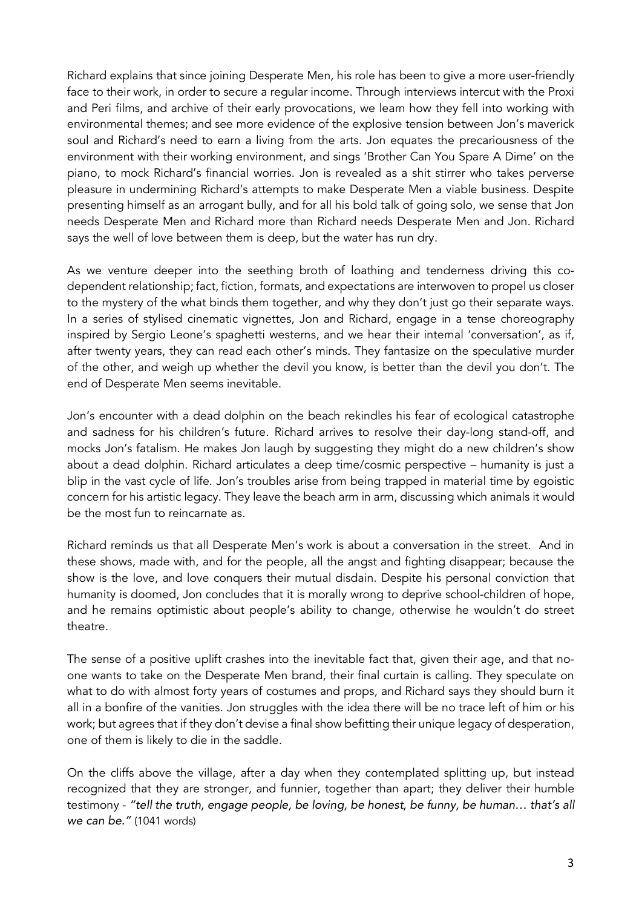Richard explains that since joining Desperate Men, his role has been to give a more user-friendly face to their work, in order to secure a regular income. Through interviews intercut with the Proxi and Peri films, and archive of their early provocations, we learn how they fell into working with environmental themes; and see more evidence of the explosive tension between Jon's maverick soul and Richard's need to earn a living from the arts. Jon equates the precariousness of the environment with their working environment, and sings 'Brother Can You Spare A Dime' on the piano, to mock Richard's financial worries. Jon is revealed as a shit stirrer who takes perverse pleasure in undermining Richard's attempts to make Desperate Men a viable business. Despite presenting himself as an arrogant bully, and for all his bold talk of going solo, we sense that Jon needs Desperate Men and Richard more than Richard needs Desperate Men and Jon. Richard says the well of love between them is deep, but the water has run dry.

As we venture deeper into the seething broth of loathing and tenderness driving this codependent relationship; fact, fiction, formats, and expectations are interwoven to propel us closer to the mystery of the what binds them together, and why they don't just go their separate ways. In a series of stylised cinematic vignettes, Jon and Richard, engage in a tense choreography inspired by Sergio Leone's spaghetti westerns, and we hear their internal 'conversation', as if, after twenty years, they can read each other's minds. They fantasize on the speculative murder of the other, and weigh up whether the devil you know, is better than the devil you don't. The end of Desperate Men seems inevitable.

Jon's encounter with a dead dolphin on the beach rekindles his fear of ecological catastrophe and sadness for his children's future. Richard arrives to resolve their day-long stand-off, and mocks Jon's fatalism. He makes Jon laugh by suggesting they might do a new children's show about a dead dolphin. Richard articulates a deep time/cosmic perspective – humanity is just a blip in the vast cycle of life. Jon's troubles arise from being trapped in material time by egoistic concern for his artistic legacy. They leave the beach arm in arm, discussing which animals it would be the most fun to reincarnate as.

Richard reminds us that all Desperate Men's work is about a conversation in the street. And in these shows, made with, and for the people, all the angst and fighting disappear; because the show is the love, and love conquers their mutual disdain. Despite his personal conviction that humanity is doomed, Jon concludes that it is morally wrong to deprive school-children of hope, and he remains optimistic about people's ability to change, otherwise he wouldn't do street theatre.

The sense of a positive uplift crashes into the inevitable fact that, given their age, and that noone wants to take on the Desperate Men brand, their final curtain is calling. They speculate on what to do with almost forty years of costumes and props, and Richard says they should burn it all in a bonfire of the vanities. Jon struggles with the idea there will be no trace left of him or his work; but agrees that if they don't devise a final show befitting their unique legacy of desperation, one of them is likely to die in the saddle.

On the cliffs above the village, after a day when they contemplated splitting up, but instead recognized that they are stronger, and funnier, together than apart; they deliver their humble testimony - *"tell the truth, engage people, be loving, be honest, be funny, be human… that's all we can be."* (1041 words)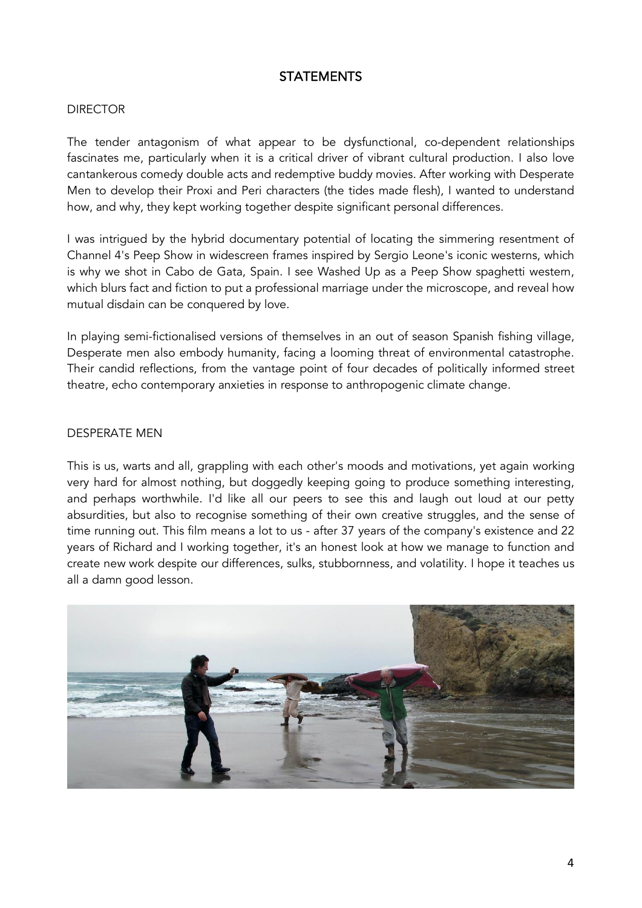# **STATEMENTS**

## **DIRECTOR**

The tender antagonism of what appear to be dysfunctional, co-dependent relationships fascinates me, particularly when it is a critical driver of vibrant cultural production. I also love cantankerous comedy double acts and redemptive buddy movies. After working with Desperate Men to develop their Proxi and Peri characters (the tides made flesh), I wanted to understand how, and why, they kept working together despite significant personal differences.

I was intrigued by the hybrid documentary potential of locating the simmering resentment of Channel 4's Peep Show in widescreen frames inspired by Sergio Leone's iconic westerns, which is why we shot in Cabo de Gata, Spain. I see Washed Up as a Peep Show spaghetti western, which blurs fact and fiction to put a professional marriage under the microscope, and reveal how mutual disdain can be conquered by love.

In playing semi-fictionalised versions of themselves in an out of season Spanish fishing village, Desperate men also embody humanity, facing a looming threat of environmental catastrophe. Their candid reflections, from the vantage point of four decades of politically informed street theatre, echo contemporary anxieties in response to anthropogenic climate change.

## DESPERATE MEN

This is us, warts and all, grappling with each other's moods and motivations, yet again working very hard for almost nothing, but doggedly keeping going to produce something interesting, and perhaps worthwhile. I'd like all our peers to see this and laugh out loud at our petty absurdities, but also to recognise something of their own creative struggles, and the sense of time running out. This film means a lot to us - after 37 years of the company's existence and 22 years of Richard and I working together, it's an honest look at how we manage to function and create new work despite our differences, sulks, stubbornness, and volatility. I hope it teaches us all a damn good lesson.

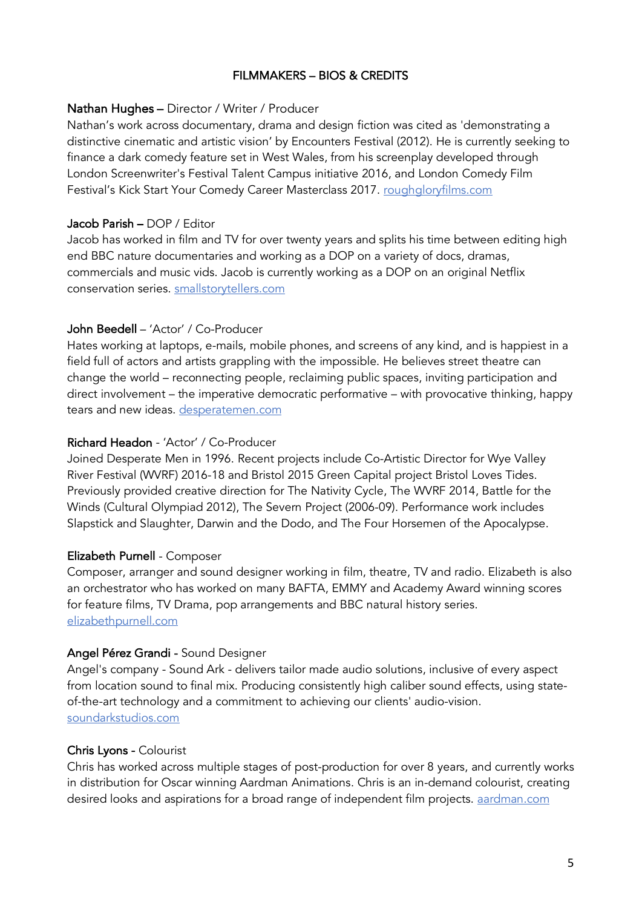# FILMMAKERS – BIOS & CREDITS

## Nathan Hughes – Director / Writer / Producer

Nathan's work across documentary, drama and design fiction was cited as 'demonstrating a distinctive cinematic and artistic vision' by Encounters Festival (2012). He is currently seeking to finance a dark comedy feature set in West Wales, from his screenplay developed through London Screenwriter's Festival Talent Campus initiative 2016, and London Comedy Film Festival's Kick Start Your Comedy Career Masterclass 2017. roughgloryfilms.com

### Jacob Parish – DOP / Editor

Jacob has worked in film and TV for over twenty years and splits his time between editing high end BBC nature documentaries and working as a DOP on a variety of docs, dramas, commercials and music vids. Jacob is currently working as a DOP on an original Netflix conservation series. smallstorytellers.com

## John Beedell – 'Actor' / Co-Producer

Hates working at laptops, e-mails, mobile phones, and screens of any kind, and is happiest in a field full of actors and artists grappling with the impossible. He believes street theatre can change the world – reconnecting people, reclaiming public spaces, inviting participation and direct involvement – the imperative democratic performative – with provocative thinking, happy tears and new ideas. desperatemen.com

## Richard Headon - 'Actor' / Co-Producer

Joined Desperate Men in 1996. Recent projects include Co-Artistic Director for Wye Valley River Festival (WVRF) 2016-18 and Bristol 2015 Green Capital project Bristol Loves Tides. Previously provided creative direction for The Nativity Cycle, The WVRF 2014, Battle for the Winds (Cultural Olympiad 2012), The Severn Project (2006-09). Performance work includes Slapstick and Slaughter, Darwin and the Dodo, and The Four Horsemen of the Apocalypse.

### Elizabeth Purnell - Composer

Composer, arranger and sound designer working in film, theatre, TV and radio. Elizabeth is also an orchestrator who has worked on many BAFTA, EMMY and Academy Award winning scores for feature films, TV Drama, pop arrangements and BBC natural history series. elizabethpurnell.com

### Angel Pérez Grandi - Sound Designer

Angel's company - Sound Ark - delivers tailor made audio solutions, inclusive of every aspect from location sound to final mix. Producing consistently high caliber sound effects, using stateof-the-art technology and a commitment to achieving our clients' audio-vision. soundarkstudios.com

### Chris Lyons - Colourist

Chris has worked across multiple stages of post-production for over 8 years, and currently works in distribution for Oscar winning Aardman Animations. Chris is an in-demand colourist, creating desired looks and aspirations for a broad range of independent film projects. aardman.com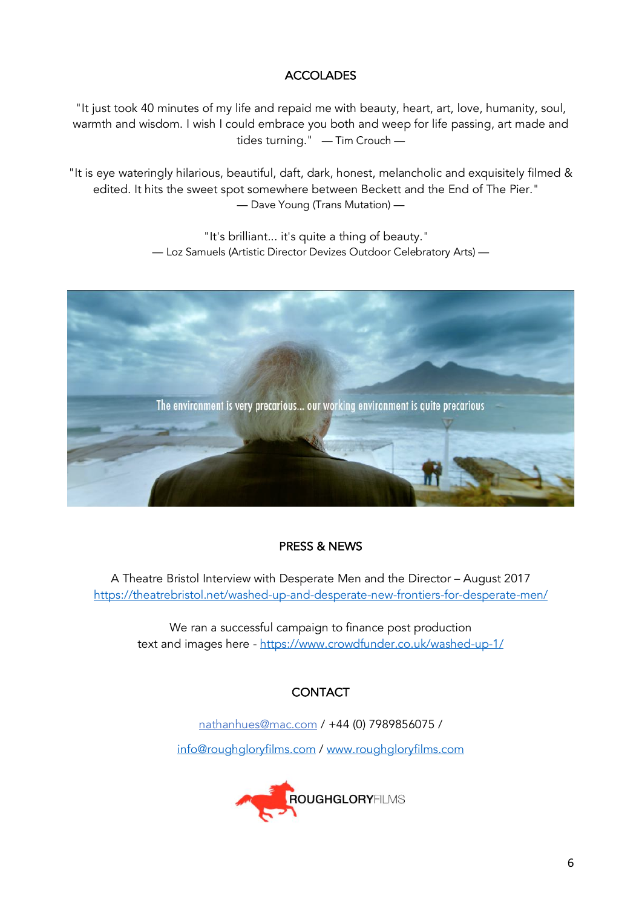# **ACCOLADES**

"It just took 40 minutes of my life and repaid me with beauty, heart, art, love, humanity, soul, warmth and wisdom. I wish I could embrace you both and weep for life passing, art made and tides turning." — Tim Crouch —

"It is eye wateringly hilarious, beautiful, daft, dark, honest, melancholic and exquisitely filmed & edited. It hits the sweet spot somewhere between Beckett and the End of The Pier." — Dave Young (Trans Mutation) —

> "It's brilliant... it's quite a thing of beauty." — Loz Samuels (Artistic Director Devizes Outdoor Celebratory Arts) —



# PRESS & NEWS

A Theatre Bristol Interview with Desperate Men and the Director – August 2017 https://theatrebristol.net/washed-up-and-desperate-new-frontiers-for-desperate-men/

We ran a successful campaign to finance post production text and images here - https://www.crowdfunder.co.uk/washed-up-1/

# **CONTACT**

nathanhues@mac.com / +44 (0) 7989856075 / info@roughgloryfilms.com / www.roughgloryfilms.com